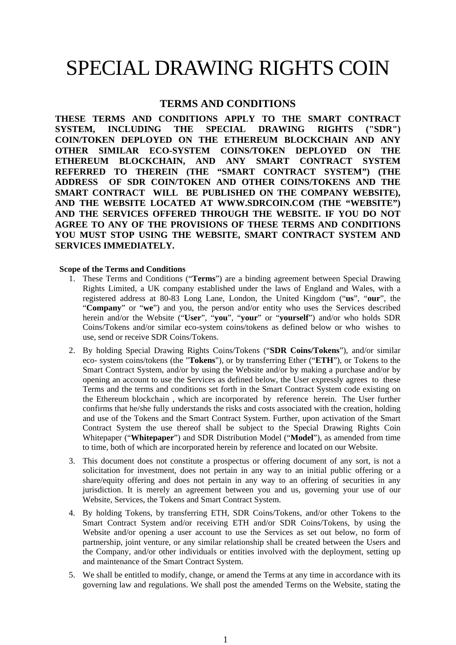# SPECIAL DRAWING RIGHTS COIN

## **TERMS AND CONDITIONS**

**THESE TERMS AND CONDITIONS APPLY TO THE SMART CONTRACT SYSTEM, INCLUDING THE SPECIAL DRAWING RIGHTS ("SDR") COIN/TOKEN DEPLOYED ON THE ETHEREUM BLOCKCHAIN AND ANY OTHER SIMILAR ECO-SYSTEM COINS/TOKEN DEPLOYED ON THE ETHEREUM BLOCKCHAIN, AND ANY SMART CONTRACT SYSTEM REFERRED TO THEREIN (THE "SMART CONTRACT SYSTEM") (THE ADDRESS OF SDR COIN/TOKEN AND OTHER COINS/TOKENS AND THE SMART CONTRACT WILL BE PUBLISHED ON THE COMPANY WEBSITE), AND THE WEBSITE LOCATED AT WWW.SDRCOIN.COM (THE "WEBSITE") AND THE SERVICES OFFERED THROUGH THE WEBSITE. IF YOU DO NOT AGREE TO ANY OF THE PROVISIONS OF THESE TERMS AND CONDITIONS YOU MUST STOP USING THE WEBSITE, SMART CONTRACT SYSTEM AND SERVICES IMMEDIATELY.**

## **Scope of the Terms and Conditions**

- 1. These Terms and Conditions ("**Terms**") are a binding agreement between Special Drawing Rights Limited, a UK company established under the laws of England and Wales, with a registered address at 80-83 Long Lane, London, the United Kingdom ("**us**", "**our**", the "**Company**" or "**we**") and you, the person and/or entity who uses the Services described herein and/or the Website ("**User**", "**you**", "**your**" or "**yourself**") and/or who holds SDR Coins/Tokens and/or similar eco-system coins/tokens as defined below or who wishes to use, send or receive SDR Coins/Tokens.
- 2. By holding Special Drawing Rights Coins/Tokens ("**SDR Coins/Tokens**"), and/or similar eco- system coins/tokens (the "**Tokens**"), or by transferring Ether ("**ETH**"), or Tokens to the Smart Contract System, and/or by using the Website and/or by making a purchase and/or by opening an account to use the Services as defined below, the User expressly agrees to these Terms and the terms and conditions set forth in the Smart Contract System code existing on the Ethereum blockchain , which are incorporated by reference herein. The User further confirms that he/she fully understands the risks and costs associated with the creation, holding and use of the Tokens and the Smart Contract System. Further, upon activation of the Smart Contract System the use thereof shall be subject to the Special Drawing Rights Coin Whitepaper ("**Whitepaper**") and SDR Distribution Model ("**Model**"), as amended from time to time, both of which are incorporated herein by reference and located on our Website.
- 3. This document does not constitute a prospectus or offering document of any sort, is not a solicitation for investment, does not pertain in any way to an initial public offering or a share/equity offering and does not pertain in any way to an offering of securities in any jurisdiction. It is merely an agreement between you and us, governing your use of our Website, Services, the Tokens and Smart Contract System.
- 4. By holding Tokens, by transferring ETH, SDR Coins/Tokens, and/or other Tokens to the Smart Contract System and/or receiving ETH and/or SDR Coins/Tokens, by using the Website and/or opening a user account to use the Services as set out below, no form of partnership, joint venture, or any similar relationship shall be created between the Users and the Company, and/or other individuals or entities involved with the deployment, setting up and maintenance of the Smart Contract System.
- 5. We shall be entitled to modify, change, or amend the Terms at any time in accordance with its governing law and regulations. We shall post the amended Terms on the Website, stating the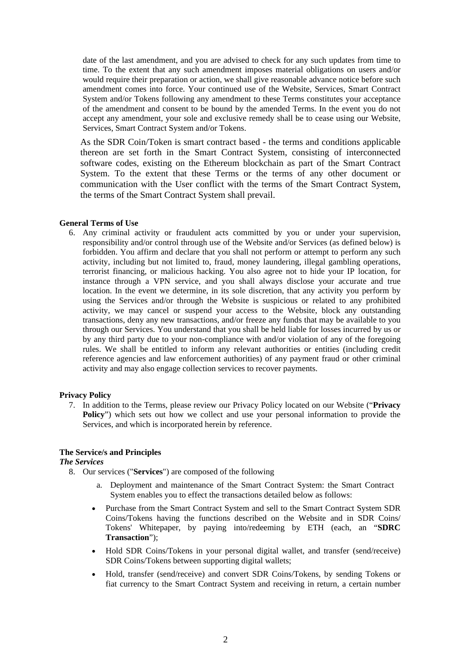date of the last amendment, and you are advised to check for any such updates from time to time. To the extent that any such amendment imposes material obligations on users and/or would require their preparation or action, we shall give reasonable advance notice before such amendment comes into force. Your continued use of the Website, Services, Smart Contract System and/or Tokens following any amendment to these Terms constitutes your acceptance of the amendment and consent to be bound by the amended Terms. In the event you do not accept any amendment, your sole and exclusive remedy shall be to cease using our Website, Services, Smart Contract System and/or Tokens.

As the SDR Coin/Token is smart contract based - the terms and conditions applicable thereon are set forth in the Smart Contract System, consisting of interconnected software codes, existing on the Ethereum blockchain as part of the Smart Contract System. To the extent that these Terms or the terms of any other document or communication with the User conflict with the terms of the Smart Contract System, the terms of the Smart Contract System shall prevail.

### **General Terms of Use**

6. Any criminal activity or fraudulent acts committed by you or under your supervision, responsibility and/or control through use of the Website and/or Services (as defined below) is forbidden. You affirm and declare that you shall not perform or attempt to perform any such activity, including but not limited to, fraud, money laundering, illegal gambling operations, terrorist financing, or malicious hacking. You also agree not to hide your IP location, for instance through a VPN service, and you shall always disclose your accurate and true location. In the event we determine, in its sole discretion, that any activity you perform by using the Services and/or through the Website is suspicious or related to any prohibited activity, we may cancel or suspend your access to the Website, block any outstanding transactions, deny any new transactions, and/or freeze any funds that may be available to you through our Services. You understand that you shall be held liable for losses incurred by us or by any third party due to your non-compliance with and/or violation of any of the foregoing rules. We shall be entitled to inform any relevant authorities or entities (including credit reference agencies and law enforcement authorities) of any payment fraud or other criminal activity and may also engage collection services to recover payments.

### **Privacy Policy**

7. In addition to the Terms, please review our Privacy Policy located on our Website ("**Privacy Policy**") which sets out how we collect and use your personal information to provide the Services, and which is incorporated herein by reference.

## **The Service/s and Principles**

### *The Services*

- 8. Our services ("**Services**") are composed of the following
	- a. Deployment and maintenance of the Smart Contract System: the Smart Contract System enables you to effect the transactions detailed below as follows:
	- Purchase from the Smart Contract System and sell to the Smart Contract System SDR Coins/Tokens having the functions described on the Website and in SDR Coins/ Tokens' Whitepaper, by paying into/redeeming by ETH (each, an "**SDRC Transaction**");
	- Hold SDR Coins/Tokens in your personal digital wallet, and transfer (send/receive) SDR Coins/Tokens between supporting digital wallets;
	- Hold, transfer (send/receive) and convert SDR Coins/Tokens, by sending Tokens or fiat currency to the Smart Contract System and receiving in return, a certain number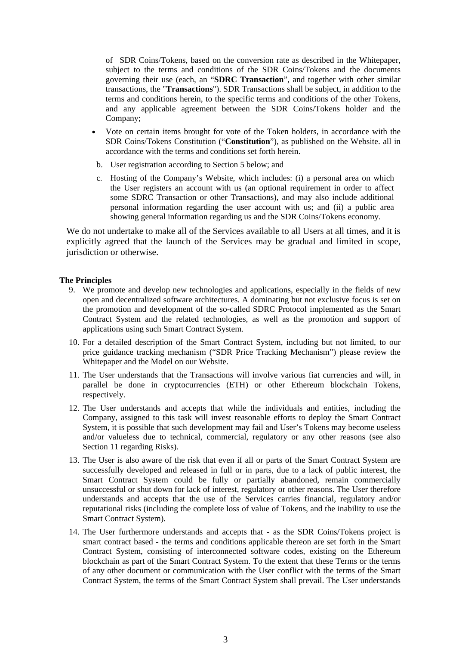of SDR Coins/Tokens, based on the conversion rate as described in the Whitepaper, subject to the terms and conditions of the SDR Coins/Tokens and the documents governing their use (each, an "**SDRC Transaction**", and together with other similar transactions, the "**Transactions**"). SDR Transactions shall be subject, in addition to the terms and conditions herein, to the specific terms and conditions of the other Tokens, and any applicable agreement between the SDR Coins/Tokens holder and the Company;

- Vote on certain items brought for vote of the Token holders, in accordance with the SDR Coins/Tokens Constitution ("**Constitution**"), as published on the Website. all in accordance with the terms and conditions set forth herein.
- b. User registration according to Section 5 below; and
- c. Hosting of the Company's Website, which includes: (i) a personal area on which the User registers an account with us (an optional requirement in order to affect some SDRC Transaction or other Transactions), and may also include additional personal information regarding the user account with us; and (ii) a public area showing general information regarding us and the SDR Coins/Tokens economy.

We do not undertake to make all of the Services available to all Users at all times, and it is explicitly agreed that the launch of the Services may be gradual and limited in scope, jurisdiction or otherwise.

## **The Principles**

- 9. We promote and develop new technologies and applications, especially in the fields of new open and decentralized software architectures. A dominating but not exclusive focus is set on the promotion and development of the so-called SDRC Protocol implemented as the Smart Contract System and the related technologies, as well as the promotion and support of applications using such Smart Contract System.
- 10. For a detailed description of the Smart Contract System, including but not limited, to our price guidance tracking mechanism ("SDR Price Tracking Mechanism") please review the Whitepaper and the Model on our Website.
- 11. The User understands that the Transactions will involve various fiat currencies and will, in parallel be done in cryptocurrencies (ETH) or other Ethereum blockchain Tokens, respectively.
- 12. The User understands and accepts that while the individuals and entities, including the Company, assigned to this task will invest reasonable efforts to deploy the Smart Contract System, it is possible that such development may fail and User's Tokens may become useless and/or valueless due to technical, commercial, regulatory or any other reasons (see also Section 11 regarding Risks).
- 13. The User is also aware of the risk that even if all or parts of the Smart Contract System are successfully developed and released in full or in parts, due to a lack of public interest, the Smart Contract System could be fully or partially abandoned, remain commercially unsuccessful or shut down for lack of interest, regulatory or other reasons. The User therefore understands and accepts that the use of the Services carries financial, regulatory and/or reputational risks (including the complete loss of value of Tokens, and the inability to use the Smart Contract System).
- 14. The User furthermore understands and accepts that as the SDR Coins/Tokens project is smart contract based - the terms and conditions applicable thereon are set forth in the Smart Contract System, consisting of interconnected software codes, existing on the Ethereum blockchain as part of the Smart Contract System. To the extent that these Terms or the terms of any other document or communication with the User conflict with the terms of the Smart Contract System, the terms of the Smart Contract System shall prevail. The User understands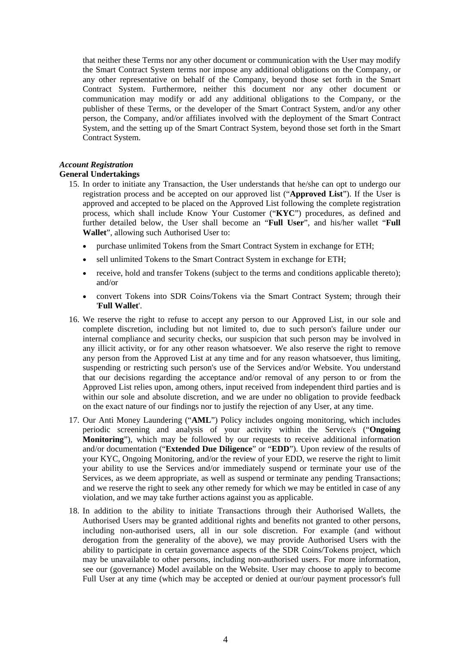that neither these Terms nor any other document or communication with the User may modify the Smart Contract System terms nor impose any additional obligations on the Company, or any other representative on behalf of the Company, beyond those set forth in the Smart Contract System. Furthermore, neither this document nor any other document or communication may modify or add any additional obligations to the Company, or the publisher of these Terms, or the developer of the Smart Contract System, and/or any other person, the Company, and/or affiliates involved with the deployment of the Smart Contract System, and the setting up of the Smart Contract System, beyond those set forth in the Smart Contract System.

# *Account Registration*

## **General Undertakings**

- 15. In order to initiate any Transaction, the User understands that he/she can opt to undergo our registration process and be accepted on our approved list ("**Approved List**"). If the User is approved and accepted to be placed on the Approved List following the complete registration process, which shall include Know Your Customer ("**KYC**") procedures, as defined and further detailed below, the User shall become an "**Full User**", and his/her wallet "**Full Wallet**", allowing such Authorised User to:
	- purchase unlimited Tokens from the Smart Contract System in exchange for ETH;
	- sell unlimited Tokens to the Smart Contract System in exchange for ETH;
	- receive, hold and transfer Tokens (subject to the terms and conditions applicable thereto); and/or
	- convert Tokens into SDR Coins/Tokens via the Smart Contract System; through their '**Full Wallet**'.
- 16. We reserve the right to refuse to accept any person to our Approved List, in our sole and complete discretion, including but not limited to, due to such person's failure under our internal compliance and security checks, our suspicion that such person may be involved in any illicit activity, or for any other reason whatsoever. We also reserve the right to remove any person from the Approved List at any time and for any reason whatsoever, thus limiting, suspending or restricting such person's use of the Services and/or Website. You understand that our decisions regarding the acceptance and/or removal of any person to or from the Approved List relies upon, among others, input received from independent third parties and is within our sole and absolute discretion, and we are under no obligation to provide feedback on the exact nature of our findings nor to justify the rejection of any User, at any time.
- 17. Our Anti Money Laundering ("**AML**") Policy includes ongoing monitoring, which includes periodic screening and analysis of your activity within the Service/s ("**Ongoing Monitoring**"), which may be followed by our requests to receive additional information and/or documentation ("**Extended Due Diligence**" or "**EDD**"). Upon review of the results of your KYC, Ongoing Monitoring, and/or the review of your EDD, we reserve the right to limit your ability to use the Services and/or immediately suspend or terminate your use of the Services, as we deem appropriate, as well as suspend or terminate any pending Transactions; and we reserve the right to seek any other remedy for which we may be entitled in case of any violation, and we may take further actions against you as applicable.
- 18. In addition to the ability to initiate Transactions through their Authorised Wallets, the Authorised Users may be granted additional rights and benefits not granted to other persons, including non-authorised users, all in our sole discretion. For example (and without derogation from the generality of the above), we may provide Authorised Users with the ability to participate in certain governance aspects of the SDR Coins/Tokens project, which may be unavailable to other persons, including non-authorised users. For more information, see our (governance) Model available on the Website. User may choose to apply to become Full User at any time (which may be accepted or denied at our/our payment processor's full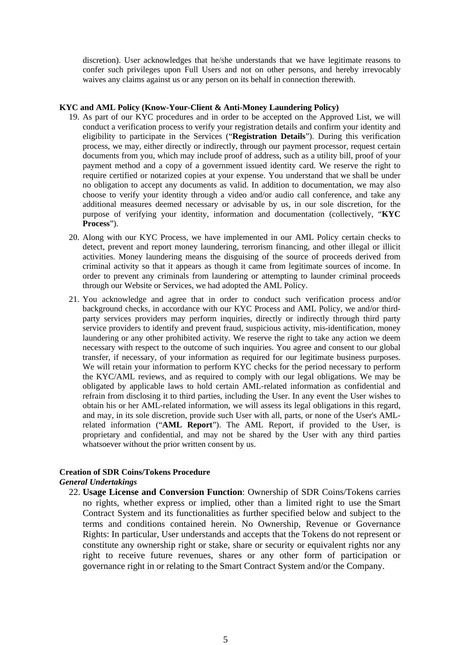discretion). User acknowledges that he/she understands that we have legitimate reasons to confer such privileges upon Full Users and not on other persons, and hereby irrevocably waives any claims against us or any person on its behalf in connection therewith.

## **KYC and AML Policy (Know-Your-Client & Anti-Money Laundering Policy)**

- 19. As part of our KYC procedures and in order to be accepted on the Approved List, we will conduct a verification process to verify your registration details and confirm your identity and eligibility to participate in the Services ("**Registration Details**"). During this verification process, we may, either directly or indirectly, through our payment processor, request certain documents from you, which may include proof of address, such as a utility bill, proof of your payment method and a copy of a government issued identity card. We reserve the right to require certified or notarized copies at your expense. You understand that we shall be under no obligation to accept any documents as valid. In addition to documentation, we may also choose to verify your identity through a video and/or audio call conference, and take any additional measures deemed necessary or advisable by us, in our sole discretion, for the purpose of verifying your identity, information and documentation (collectively, "**KYC Process**").
- 20. Along with our KYC Process, we have implemented in our AML Policy certain checks to detect, prevent and report money laundering, terrorism financing, and other illegal or illicit activities. Money laundering means the disguising of the source of proceeds derived from criminal activity so that it appears as though it came from legitimate sources of income. In order to prevent any criminals from laundering or attempting to launder criminal proceeds through our Website or Services, we had adopted the AML Policy.
- 21. You acknowledge and agree that in order to conduct such verification process and/or background checks, in accordance with our KYC Process and AML Policy, we and/or thirdparty services providers may perform inquiries, directly or indirectly through third party service providers to identify and prevent fraud, suspicious activity, mis-identification, money laundering or any other prohibited activity. We reserve the right to take any action we deem necessary with respect to the outcome of such inquiries. You agree and consent to our global transfer, if necessary, of your information as required for our legitimate business purposes. We will retain your information to perform KYC checks for the period necessary to perform the KYC/AML reviews, and as required to comply with our legal obligations. We may be obligated by applicable laws to hold certain AML-related information as confidential and refrain from disclosing it to third parties, including the User. In any event the User wishes to obtain his or her AML-related information, we will assess its legal obligations in this regard, and may, in its sole discretion, provide such User with all, parts, or none of the User's AMLrelated information ("**AML Report**"). The AML Report, if provided to the User, is proprietary and confidential, and may not be shared by the User with any third parties whatsoever without the prior written consent by us.

## **Creation of SDR Coins/Tokens Procedure** *General Undertakings*

- - 22. **Usage License and Conversion Function**: Ownership of SDR Coins/Tokens carries no rights, whether express or implied, other than a limited right to use the Smart Contract System and its functionalities as further specified below and subject to the terms and conditions contained herein. No Ownership, Revenue or Governance Rights: In particular, User understands and accepts that the Tokens do not represent or constitute any ownership right or stake, share or security or equivalent rights nor any right to receive future revenues, shares or any other form of participation or governance right in or relating to the Smart Contract System and/or the Company.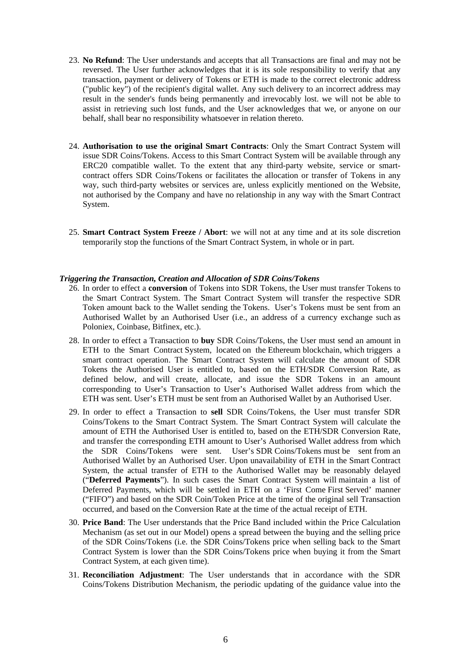- 23. **No Refund**: The User understands and accepts that all Transactions are final and may not be reversed. The User further acknowledges that it is its sole responsibility to verify that any transaction, payment or delivery of Tokens or ETH is made to the correct electronic address ("public key") of the recipient's digital wallet. Any such delivery to an incorrect address may result in the sender's funds being permanently and irrevocably lost. we will not be able to assist in retrieving such lost funds, and the User acknowledges that we, or anyone on our behalf, shall bear no responsibility whatsoever in relation thereto.
- 24. **Authorisation to use the original Smart Contracts**: Only the Smart Contract System will issue SDR Coins/Tokens. Access to this Smart Contract System will be available through any ERC20 compatible wallet. To the extent that any third-party website, service or smartcontract offers SDR Coins/Tokens or facilitates the allocation or transfer of Tokens in any way, such third-party websites or services are, unless explicitly mentioned on the Website, not authorised by the Company and have no relationship in any way with the Smart Contract System.
- 25. **Smart Contract System Freeze / Abort**: we will not at any time and at its sole discretion temporarily stop the functions of the Smart Contract System, in whole or in part.

## *Triggering the Transaction, Creation and Allocation of SDR Coins/Tokens*

- 26. In order to effect a **conversion** of Tokens into SDR Tokens, the User must transfer Tokens to the Smart Contract System. The Smart Contract System will transfer the respective SDR Token amount back to the Wallet sending the Tokens. User's Tokens must be sent from an Authorised Wallet by an Authorised User (i.e., an address of a currency exchange such as Poloniex, Coinbase, Bitfinex, etc.).
- 28. In order to effect a Transaction to **buy** SDR Coins/Tokens, the User must send an amount in ETH to the Smart Contract System, located on the Ethereum blockchain, which triggers a smart contract operation. The Smart Contract System will calculate the amount of SDR Tokens the Authorised User is entitled to, based on the ETH/SDR Conversion Rate, as defined below, and will create, allocate, and issue the SDR Tokens in an amount corresponding to User's Transaction to User's Authorised Wallet address from which the ETH was sent. User's ETH must be sent from an Authorised Wallet by an Authorised User.
- 29. In order to effect a Transaction to **sell** SDR Coins/Tokens, the User must transfer SDR Coins/Tokens to the Smart Contract System. The Smart Contract System will calculate the amount of ETH the Authorised User is entitled to, based on the ETH/SDR Conversion Rate, and transfer the corresponding ETH amount to User's Authorised Wallet address from which the SDR Coins/Tokens were sent. User's SDR Coins/Tokens must be sent from an Authorised Wallet by an Authorised User. Upon unavailability of ETH in the Smart Contract System, the actual transfer of ETH to the Authorised Wallet may be reasonably delayed ("**Deferred Payments**"). In such cases the Smart Contract System will maintain a list of Deferred Payments, which will be settled in ETH on a 'First Come First Served' manner ("FIFO") and based on the SDR Coin/Token Price at the time of the original sell Transaction occurred, and based on the Conversion Rate at the time of the actual receipt of ETH.
- 30. **Price Band**: The User understands that the Price Band included within the Price Calculation Mechanism (as set out in our Model) opens a spread between the buying and the selling price of the SDR Coins/Tokens (i.e. the SDR Coins/Tokens price when selling back to the Smart Contract System is lower than the SDR Coins/Tokens price when buying it from the Smart Contract System, at each given time).
- 31. **Reconciliation Adjustment**: The User understands that in accordance with the SDR Coins/Tokens Distribution Mechanism, the periodic updating of the guidance value into the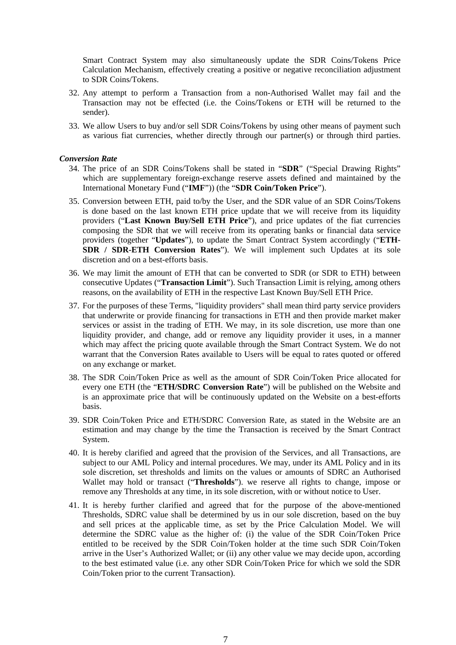Smart Contract System may also simultaneously update the SDR Coins/Tokens Price Calculation Mechanism, effectively creating a positive or negative reconciliation adjustment to SDR Coins/Tokens.

- 32. Any attempt to perform a Transaction from a non-Authorised Wallet may fail and the Transaction may not be effected (i.e. the Coins/Tokens or ETH will be returned to the sender).
- 33. We allow Users to buy and/or sell SDR Coins/Tokens by using other means of payment such as various fiat currencies, whether directly through our partner(s) or through third parties.

#### *Conversion Rate*

- 34. The price of an SDR Coins/Tokens shall be stated in "**SDR**" ("Special Drawing Rights" which are supplementary foreign-exchange reserve assets defined and maintained by the International Monetary Fund ("**IMF**")) (the "**SDR Coin/Token Price**").
- 35. Conversion between ETH, paid to/by the User, and the SDR value of an SDR Coins/Tokens is done based on the last known ETH price update that we will receive from its liquidity providers ("**Last Known Buy/Sell ETH Price**"), and price updates of the fiat currencies composing the SDR that we will receive from its operating banks or financial data service providers (together "**Updates**"), to update the Smart Contract System accordingly ("**ETH-SDR / SDR-ETH Conversion Rates**"). We will implement such Updates at its sole discretion and on a best-efforts basis.
- 36. We may limit the amount of ETH that can be converted to SDR (or SDR to ETH) between consecutive Updates ("**Transaction Limit**"). Such Transaction Limit is relying, among others reasons, on the availability of ETH in the respective Last Known Buy/Sell ETH Price.
- 37. For the purposes of these Terms, "liquidity providers" shall mean third party service providers that underwrite or provide financing for transactions in ETH and then provide market maker services or assist in the trading of ETH. We may, in its sole discretion, use more than one liquidity provider, and change, add or remove any liquidity provider it uses, in a manner which may affect the pricing quote available through the Smart Contract System. We do not warrant that the Conversion Rates available to Users will be equal to rates quoted or offered on any exchange or market.
- 38. The SDR Coin/Token Price as well as the amount of SDR Coin/Token Price allocated for every one ETH (the "**ETH/SDRC Conversion Rate**") will be published on the Website and is an approximate price that will be continuously updated on the Website on a best-efforts basis.
- 39. SDR Coin/Token Price and ETH/SDRC Conversion Rate, as stated in the Website are an estimation and may change by the time the Transaction is received by the Smart Contract System.
- 40. It is hereby clarified and agreed that the provision of the Services, and all Transactions, are subject to our AML Policy and internal procedures. We may, under its AML Policy and in its sole discretion, set thresholds and limits on the values or amounts of SDRC an Authorised Wallet may hold or transact ("**Thresholds**"). we reserve all rights to change, impose or remove any Thresholds at any time, in its sole discretion, with or without notice to User.
- 41. It is hereby further clarified and agreed that for the purpose of the above-mentioned Thresholds, SDRC value shall be determined by us in our sole discretion, based on the buy and sell prices at the applicable time, as set by the Price Calculation Model. We will determine the SDRC value as the higher of: (i) the value of the SDR Coin/Token Price entitled to be received by the SDR Coin/Token holder at the time such SDR Coin/Token arrive in the User's Authorized Wallet; or (ii) any other value we may decide upon, according to the best estimated value (i.e. any other SDR Coin/Token Price for which we sold the SDR Coin/Token prior to the current Transaction).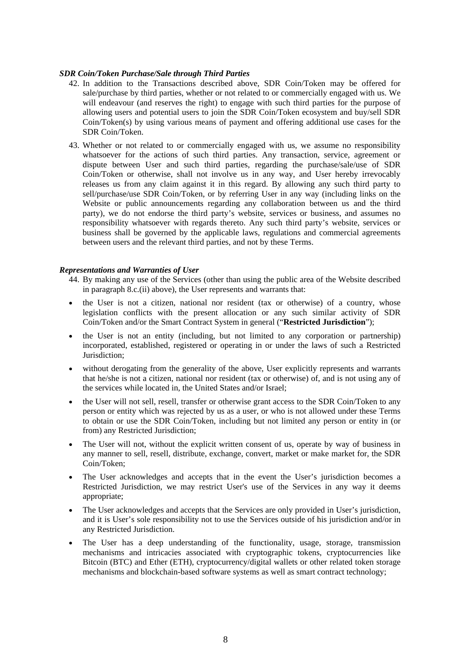## *SDR Coin/Token Purchase/Sale through Third Parties*

- 42. In addition to the Transactions described above, SDR Coin/Token may be offered for sale/purchase by third parties, whether or not related to or commercially engaged with us. We will endeavour (and reserves the right) to engage with such third parties for the purpose of allowing users and potential users to join the SDR Coin/Token ecosystem and buy/sell SDR Coin/Token(s) by using various means of payment and offering additional use cases for the SDR Coin/Token.
- 43. Whether or not related to or commercially engaged with us, we assume no responsibility whatsoever for the actions of such third parties. Any transaction, service, agreement or dispute between User and such third parties, regarding the purchase/sale/use of SDR Coin/Token or otherwise, shall not involve us in any way, and User hereby irrevocably releases us from any claim against it in this regard. By allowing any such third party to sell/purchase/use SDR Coin/Token, or by referring User in any way (including links on the Website or public announcements regarding any collaboration between us and the third party), we do not endorse the third party's website, services or business, and assumes no responsibility whatsoever with regards thereto. Any such third party's website, services or business shall be governed by the applicable laws, regulations and commercial agreements between users and the relevant third parties, and not by these Terms.

## *Representations and Warranties of User*

- 44. By making any use of the Services (other than using the public area of the Website described in paragraph 8.c.(ii) above), the User represents and warrants that:
- the User is not a citizen, national nor resident (tax or otherwise) of a country, whose legislation conflicts with the present allocation or any such similar activity of SDR Coin/Token and/or the Smart Contract System in general ("**Restricted Jurisdiction**");
- the User is not an entity (including, but not limited to any corporation or partnership) incorporated, established, registered or operating in or under the laws of such a Restricted Jurisdiction;
- without derogating from the generality of the above, User explicitly represents and warrants that he/she is not a citizen, national nor resident (tax or otherwise) of, and is not using any of the services while located in, the United States and/or Israel;
- the User will not sell, resell, transfer or otherwise grant access to the SDR Coin/Token to any person or entity which was rejected by us as a user, or who is not allowed under these Terms to obtain or use the SDR Coin/Token, including but not limited any person or entity in (or from) any Restricted Jurisdiction;
- The User will not, without the explicit written consent of us, operate by way of business in any manner to sell, resell, distribute, exchange, convert, market or make market for, the SDR Coin/Token;
- The User acknowledges and accepts that in the event the User's jurisdiction becomes a Restricted Jurisdiction, we may restrict User's use of the Services in any way it deems appropriate;
- The User acknowledges and accepts that the Services are only provided in User's jurisdiction, and it is User's sole responsibility not to use the Services outside of his jurisdiction and/or in any Restricted Jurisdiction.
- The User has a deep understanding of the functionality, usage, storage, transmission mechanisms and intricacies associated with cryptographic tokens, cryptocurrencies like Bitcoin (BTC) and Ether (ETH), cryptocurrency/digital wallets or other related token storage mechanisms and blockchain-based software systems as well as smart contract technology;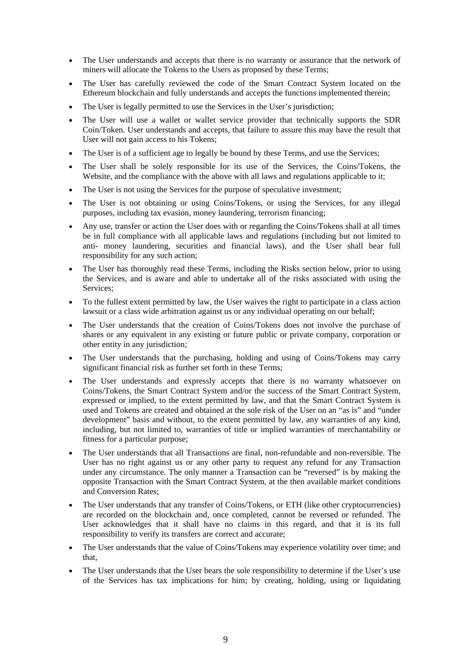- The User understands and accepts that there is no warranty or assurance that the network of miners will allocate the Tokens to the Users as proposed by these Terms;
- The User has carefully reviewed the code of the Smart Contract System located on the Ethereum blockchain and fully understands and accepts the functions implemented therein;
- The User is legally permitted to use the Services in the User's jurisdiction;
- The User will use a wallet or wallet service provider that technically supports the SDR Coin/Token. User understands and accepts, that failure to assure this may have the result that User will not gain access to his Tokens;
- The User is of a sufficient age to legally be bound by these Terms, and use the Services:
- The User shall be solely responsible for its use of the Services, the Coins/Tokens, the Website, and the compliance with the above with all laws and regulations applicable to it;
- The User is not using the Services for the purpose of speculative investment;
- The User is not obtaining or using Coins/Tokens, or using the Services, for any illegal purposes, including tax evasion, money laundering, terrorism financing;
- Any use, transfer or action the User does with or regarding the Coins/Tokens shall at all times be in full compliance with all applicable laws and regulations (including but not limited to anti- money laundering, securities and financial laws), and the User shall bear full responsibility for any such action;
- The User has thoroughly read these Terms, including the Risks section below, prior to using the Services, and is aware and able to undertake all of the risks associated with using the Services;
- To the fullest extent permitted by law, the User waives the right to participate in a class action lawsuit or a class wide arbitration against us or any individual operating on our behalf;
- The User understands that the creation of Coins/Tokens does not involve the purchase of shares or any equivalent in any existing or future public or private company, corporation or other entity in any jurisdiction;
- The User understands that the purchasing, holding and using of Coins/Tokens may carry significant financial risk as further set forth in these Terms;
- The User understands and expressly accepts that there is no warranty whatsoever on Coins/Tokens, the Smart Contract System and/or the success of the Smart Contract System, expressed or implied, to the extent permitted by law, and that the Smart Contract System is used and Tokens are created and obtained at the sole risk of the User on an "as is" and "under development" basis and without, to the extent permitted by law, any warranties of any kind, including, but not limited to, warranties of title or implied warranties of merchantability or fitness for a particular purpose;
- The User understands that all Transactions are final, non-refundable and non-reversible. The User has no right against us or any other party to request any refund for any Transaction under any circumstance. The only manner a Transaction can be "reversed" is by making the opposite Transaction with the Smart Contract System, at the then available market conditions and Conversion Rates;
- The User understands that any transfer of Coins/Tokens, or ETH (like other cryptocurrencies) are recorded on the blockchain and, once completed, cannot be reversed or refunded. The User acknowledges that it shall have no claims in this regard, and that it is its full responsibility to verify its transfers are correct and accurate;
- The User understands that the value of Coins/Tokens may experience volatility over time; and that,
- The User understands that the User bears the sole responsibility to determine if the User's use of the Services has tax implications for him; by creating, holding, using or liquidating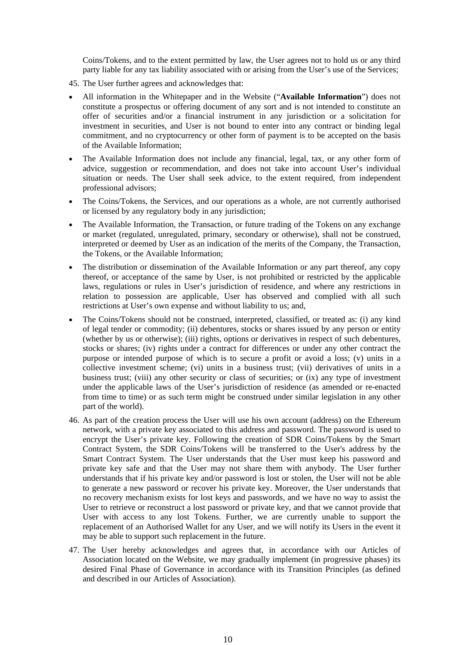Coins/Tokens, and to the extent permitted by law, the User agrees not to hold us or any third party liable for any tax liability associated with or arising from the User's use of the Services;

- 45. The User further agrees and acknowledges that:
- All information in the Whitepaper and in the Website ("**Available Information**") does not constitute a prospectus or offering document of any sort and is not intended to constitute an offer of securities and/or a financial instrument in any jurisdiction or a solicitation for investment in securities, and User is not bound to enter into any contract or binding legal commitment, and no cryptocurrency or other form of payment is to be accepted on the basis of the Available Information;
- The Available Information does not include any financial, legal, tax, or any other form of advice, suggestion or recommendation, and does not take into account User's individual situation or needs. The User shall seek advice, to the extent required, from independent professional advisors;
- The Coins/Tokens, the Services, and our operations as a whole, are not currently authorised or licensed by any regulatory body in any jurisdiction;
- The Available Information, the Transaction, or future trading of the Tokens on any exchange or market (regulated, unregulated, primary, secondary or otherwise), shall not be construed, interpreted or deemed by User as an indication of the merits of the Company, the Transaction, the Tokens, or the Available Information;
- The distribution or dissemination of the Available Information or any part thereof, any copy thereof, or acceptance of the same by User, is not prohibited or restricted by the applicable laws, regulations or rules in User's jurisdiction of residence, and where any restrictions in relation to possession are applicable, User has observed and complied with all such restrictions at User's own expense and without liability to us; and,
- The Coins/Tokens should not be construed, interpreted, classified, or treated as: (i) any kind of legal tender or commodity; (ii) debentures, stocks or shares issued by any person or entity (whether by us or otherwise); (iii) rights, options or derivatives in respect of such debentures, stocks or shares; (iv) rights under a contract for differences or under any other contract the purpose or intended purpose of which is to secure a profit or avoid a loss; (v) units in a collective investment scheme; (vi) units in a business trust; (vii) derivatives of units in a business trust; (viii) any other security or class of securities; or (ix) any type of investment under the applicable laws of the User's jurisdiction of residence (as amended or re-enacted from time to time) or as such term might be construed under similar legislation in any other part of the world).
- 46. As part of the creation process the User will use his own account (address) on the Ethereum network, with a private key associated to this address and password. The password is used to encrypt the User's private key. Following the creation of SDR Coins/Tokens by the Smart Contract System, the SDR Coins/Tokens will be transferred to the User's address by the Smart Contract System. The User understands that the User must keep his password and private key safe and that the User may not share them with anybody. The User further understands that if his private key and/or password is lost or stolen, the User will not be able to generate a new password or recover his private key. Moreover, the User understands that no recovery mechanism exists for lost keys and passwords, and we have no way to assist the User to retrieve or reconstruct a lost password or private key, and that we cannot provide that User with access to any lost Tokens. Further, we are currently unable to support the replacement of an Authorised Wallet for any User, and we will notify its Users in the event it may be able to support such replacement in the future.
- 47. The User hereby acknowledges and agrees that, in accordance with our Articles of Association located on the Website, we may gradually implement (in progressive phases) its desired Final Phase of Governance in accordance with its Transition Principles (as defined and described in our Articles of Association).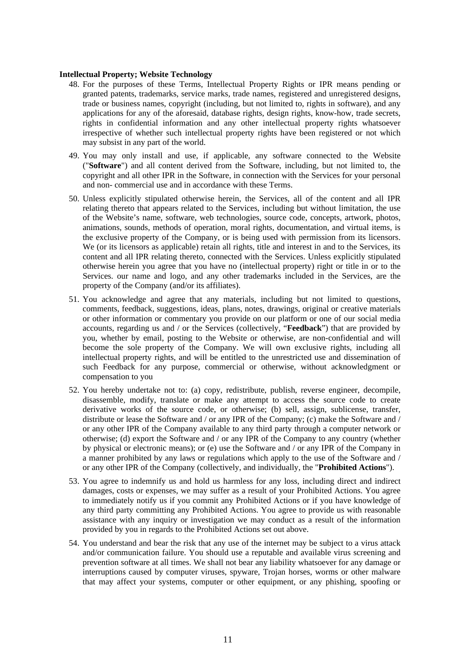### **Intellectual Property; Website Technology**

- 48. For the purposes of these Terms, Intellectual Property Rights or IPR means pending or granted patents, trademarks, service marks, trade names, registered and unregistered designs, trade or business names, copyright (including, but not limited to, rights in software), and any applications for any of the aforesaid, database rights, design rights, know-how, trade secrets, rights in confidential information and any other intellectual property rights whatsoever irrespective of whether such intellectual property rights have been registered or not which may subsist in any part of the world.
- 49. You may only install and use, if applicable, any software connected to the Website ("**Software**") and all content derived from the Software, including, but not limited to, the copyright and all other IPR in the Software, in connection with the Services for your personal and non- commercial use and in accordance with these Terms.
- 50. Unless explicitly stipulated otherwise herein, the Services, all of the content and all IPR relating thereto that appears related to the Services, including but without limitation, the use of the Website's name, software, web technologies, source code, concepts, artwork, photos, animations, sounds, methods of operation, moral rights, documentation, and virtual items, is the exclusive property of the Company, or is being used with permission from its licensors. We (or its licensors as applicable) retain all rights, title and interest in and to the Services, its content and all IPR relating thereto, connected with the Services. Unless explicitly stipulated otherwise herein you agree that you have no (intellectual property) right or title in or to the Services. our name and logo, and any other trademarks included in the Services, are the property of the Company (and/or its affiliates).
- 51. You acknowledge and agree that any materials, including but not limited to questions, comments, feedback, suggestions, ideas, plans, notes, drawings, original or creative materials or other information or commentary you provide on our platform or one of our social media accounts, regarding us and / or the Services (collectively, "**Feedback**") that are provided by you, whether by email, posting to the Website or otherwise, are non-confidential and will become the sole property of the Company. We will own exclusive rights, including all intellectual property rights, and will be entitled to the unrestricted use and dissemination of such Feedback for any purpose, commercial or otherwise, without acknowledgment or compensation to you
- 52. You hereby undertake not to: (a) copy, redistribute, publish, reverse engineer, decompile, disassemble, modify, translate or make any attempt to access the source code to create derivative works of the source code, or otherwise; (b) sell, assign, sublicense, transfer, distribute or lease the Software and / or any IPR of the Company; (c) make the Software and / or any other IPR of the Company available to any third party through a computer network or otherwise; (d) export the Software and / or any IPR of the Company to any country (whether by physical or electronic means); or (e) use the Software and / or any IPR of the Company in a manner prohibited by any laws or regulations which apply to the use of the Software and / or any other IPR of the Company (collectively, and individually, the "**Prohibited Actions**").
- 53. You agree to indemnify us and hold us harmless for any loss, including direct and indirect damages, costs or expenses, we may suffer as a result of your Prohibited Actions. You agree to immediately notify us if you commit any Prohibited Actions or if you have knowledge of any third party committing any Prohibited Actions. You agree to provide us with reasonable assistance with any inquiry or investigation we may conduct as a result of the information provided by you in regards to the Prohibited Actions set out above.
- 54. You understand and bear the risk that any use of the internet may be subject to a virus attack and/or communication failure. You should use a reputable and available virus screening and prevention software at all times. We shall not bear any liability whatsoever for any damage or interruptions caused by computer viruses, spyware, Trojan horses, worms or other malware that may affect your systems, computer or other equipment, or any phishing, spoofing or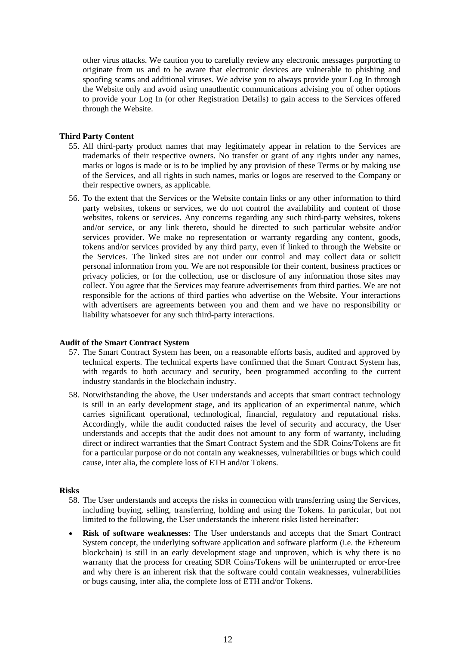other virus attacks. We caution you to carefully review any electronic messages purporting to originate from us and to be aware that electronic devices are vulnerable to phishing and spoofing scams and additional viruses. We advise you to always provide your Log In through the Website only and avoid using unauthentic communications advising you of other options to provide your Log In (or other Registration Details) to gain access to the Services offered through the Website.

## **Third Party Content**

- 55. All third-party product names that may legitimately appear in relation to the Services are trademarks of their respective owners. No transfer or grant of any rights under any names, marks or logos is made or is to be implied by any provision of these Terms or by making use of the Services, and all rights in such names, marks or logos are reserved to the Company or their respective owners, as applicable.
- 56. To the extent that the Services or the Website contain links or any other information to third party websites, tokens or services, we do not control the availability and content of those websites, tokens or services. Any concerns regarding any such third-party websites, tokens and/or service, or any link thereto, should be directed to such particular website and/or services provider. We make no representation or warranty regarding any content, goods, tokens and/or services provided by any third party, even if linked to through the Website or the Services. The linked sites are not under our control and may collect data or solicit personal information from you. We are not responsible for their content, business practices or privacy policies, or for the collection, use or disclosure of any information those sites may collect. You agree that the Services may feature advertisements from third parties. We are not responsible for the actions of third parties who advertise on the Website. Your interactions with advertisers are agreements between you and them and we have no responsibility or liability whatsoever for any such third-party interactions.

### **Audit of the Smart Contract System**

- 57. The Smart Contract System has been, on a reasonable efforts basis, audited and approved by technical experts. The technical experts have confirmed that the Smart Contract System has, with regards to both accuracy and security, been programmed according to the current industry standards in the blockchain industry.
- 58. Notwithstanding the above, the User understands and accepts that smart contract technology is still in an early development stage, and its application of an experimental nature, which carries significant operational, technological, financial, regulatory and reputational risks. Accordingly, while the audit conducted raises the level of security and accuracy, the User understands and accepts that the audit does not amount to any form of warranty, including direct or indirect warranties that the Smart Contract System and the SDR Coins/Tokens are fit for a particular purpose or do not contain any weaknesses, vulnerabilities or bugs which could cause, inter alia, the complete loss of ETH and/or Tokens.

## **Risks**

- 58. The User understands and accepts the risks in connection with transferring using the Services, including buying, selling, transferring, holding and using the Tokens. In particular, but not limited to the following, the User understands the inherent risks listed hereinafter:
- **Risk of software weaknesses**: The User understands and accepts that the Smart Contract System concept, the underlying software application and software platform (i.e. the Ethereum blockchain) is still in an early development stage and unproven, which is why there is no warranty that the process for creating SDR Coins/Tokens will be uninterrupted or error-free and why there is an inherent risk that the software could contain weaknesses, vulnerabilities or bugs causing, inter alia, the complete loss of ETH and/or Tokens.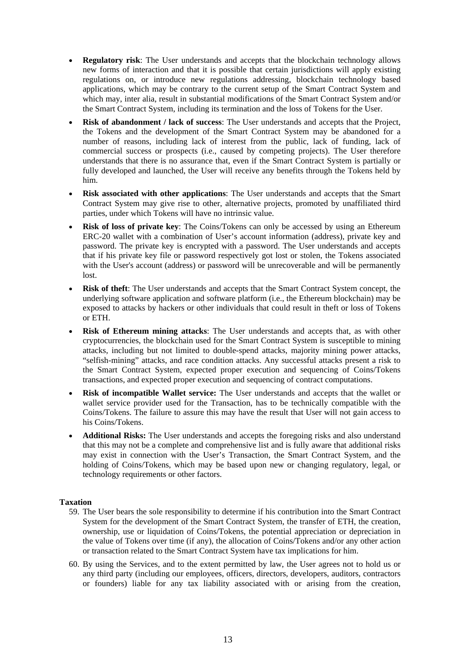- **Regulatory risk**: The User understands and accepts that the blockchain technology allows new forms of interaction and that it is possible that certain jurisdictions will apply existing regulations on, or introduce new regulations addressing, blockchain technology based applications, which may be contrary to the current setup of the Smart Contract System and which may, inter alia, result in substantial modifications of the Smart Contract System and/or the Smart Contract System, including its termination and the loss of Tokens for the User.
- **Risk of abandonment / lack of success:** The User understands and accepts that the Project, the Tokens and the development of the Smart Contract System may be abandoned for a number of reasons, including lack of interest from the public, lack of funding, lack of commercial success or prospects (i.e., caused by competing projects). The User therefore understands that there is no assurance that, even if the Smart Contract System is partially or fully developed and launched, the User will receive any benefits through the Tokens held by him.
- **Risk associated with other applications**: The User understands and accepts that the Smart Contract System may give rise to other, alternative projects, promoted by unaffiliated third parties, under which Tokens will have no intrinsic value.
- **Risk of loss of private key**: The Coins/Tokens can only be accessed by using an Ethereum ERC-20 wallet with a combination of User's account information (address), private key and password. The private key is encrypted with a password. The User understands and accepts that if his private key file or password respectively got lost or stolen, the Tokens associated with the User's account (address) or password will be unrecoverable and will be permanently lost.
- **Risk of theft**: The User understands and accepts that the Smart Contract System concept, the underlying software application and software platform (i.e., the Ethereum blockchain) may be exposed to attacks by hackers or other individuals that could result in theft or loss of Tokens or ETH.
- **Risk of Ethereum mining attacks**: The User understands and accepts that, as with other cryptocurrencies, the blockchain used for the Smart Contract System is susceptible to mining attacks, including but not limited to double-spend attacks, majority mining power attacks, "selfish-mining" attacks, and race condition attacks. Any successful attacks present a risk to the Smart Contract System, expected proper execution and sequencing of Coins/Tokens transactions, and expected proper execution and sequencing of contract computations.
- **Risk of incompatible Wallet service:** The User understands and accepts that the wallet or wallet service provider used for the Transaction, has to be technically compatible with the Coins/Tokens. The failure to assure this may have the result that User will not gain access to his Coins/Tokens.
- **Additional Risks:** The User understands and accepts the foregoing risks and also understand that this may not be a complete and comprehensive list and is fully aware that additional risks may exist in connection with the User's Transaction, the Smart Contract System, and the holding of Coins/Tokens, which may be based upon new or changing regulatory, legal, or technology requirements or other factors.

## **Taxation**

- 59. The User bears the sole responsibility to determine if his contribution into the Smart Contract System for the development of the Smart Contract System, the transfer of ETH, the creation, ownership, use or liquidation of Coins/Tokens, the potential appreciation or depreciation in the value of Tokens over time (if any), the allocation of Coins/Tokens and/or any other action or transaction related to the Smart Contract System have tax implications for him.
- 60. By using the Services, and to the extent permitted by law, the User agrees not to hold us or any third party (including our employees, officers, directors, developers, auditors, contractors or founders) liable for any tax liability associated with or arising from the creation,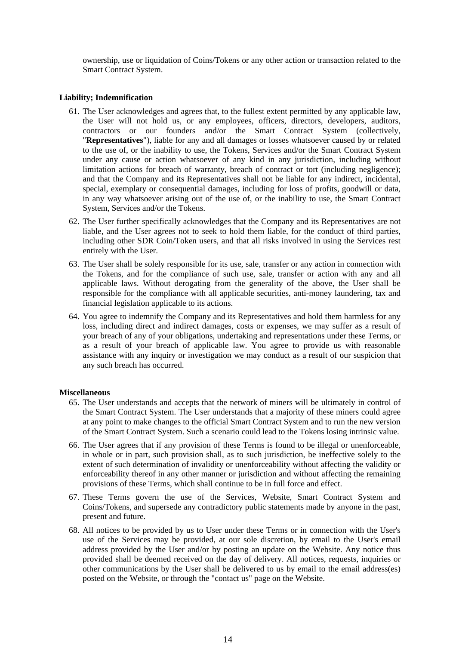ownership, use or liquidation of Coins/Tokens or any other action or transaction related to the Smart Contract System.

## **Liability; Indemnification**

- 61. The User acknowledges and agrees that, to the fullest extent permitted by any applicable law, the User will not hold us, or any employees, officers, directors, developers, auditors, contractors or our founders and/or the Smart Contract System (collectively, "**Representatives**"), liable for any and all damages or losses whatsoever caused by or related to the use of, or the inability to use, the Tokens, Services and/or the Smart Contract System under any cause or action whatsoever of any kind in any jurisdiction, including without limitation actions for breach of warranty, breach of contract or tort (including negligence); and that the Company and its Representatives shall not be liable for any indirect, incidental, special, exemplary or consequential damages, including for loss of profits, goodwill or data, in any way whatsoever arising out of the use of, or the inability to use, the Smart Contract System, Services and/or the Tokens.
- 62. The User further specifically acknowledges that the Company and its Representatives are not liable, and the User agrees not to seek to hold them liable, for the conduct of third parties, including other SDR Coin/Token users, and that all risks involved in using the Services rest entirely with the User.
- 63. The User shall be solely responsible for its use, sale, transfer or any action in connection with the Tokens, and for the compliance of such use, sale, transfer or action with any and all applicable laws. Without derogating from the generality of the above, the User shall be responsible for the compliance with all applicable securities, anti-money laundering, tax and financial legislation applicable to its actions.
- 64. You agree to indemnify the Company and its Representatives and hold them harmless for any loss, including direct and indirect damages, costs or expenses, we may suffer as a result of your breach of any of your obligations, undertaking and representations under these Terms, or as a result of your breach of applicable law. You agree to provide us with reasonable assistance with any inquiry or investigation we may conduct as a result of our suspicion that any such breach has occurred.

### **Miscellaneous**

- 65. The User understands and accepts that the network of miners will be ultimately in control of the Smart Contract System. The User understands that a majority of these miners could agree at any point to make changes to the official Smart Contract System and to run the new version of the Smart Contract System. Such a scenario could lead to the Tokens losing intrinsic value.
- 66. The User agrees that if any provision of these Terms is found to be illegal or unenforceable, in whole or in part, such provision shall, as to such jurisdiction, be ineffective solely to the extent of such determination of invalidity or unenforceability without affecting the validity or enforceability thereof in any other manner or jurisdiction and without affecting the remaining provisions of these Terms, which shall continue to be in full force and effect.
- 67. These Terms govern the use of the Services, Website, Smart Contract System and Coins/Tokens, and supersede any contradictory public statements made by anyone in the past, present and future.
- 68. All notices to be provided by us to User under these Terms or in connection with the User's use of the Services may be provided, at our sole discretion, by email to the User's email address provided by the User and/or by posting an update on the Website. Any notice thus provided shall be deemed received on the day of delivery. All notices, requests, inquiries or other communications by the User shall be delivered to us by email to the email address(es) posted on the Website, or through the "contact us" page on the Website.